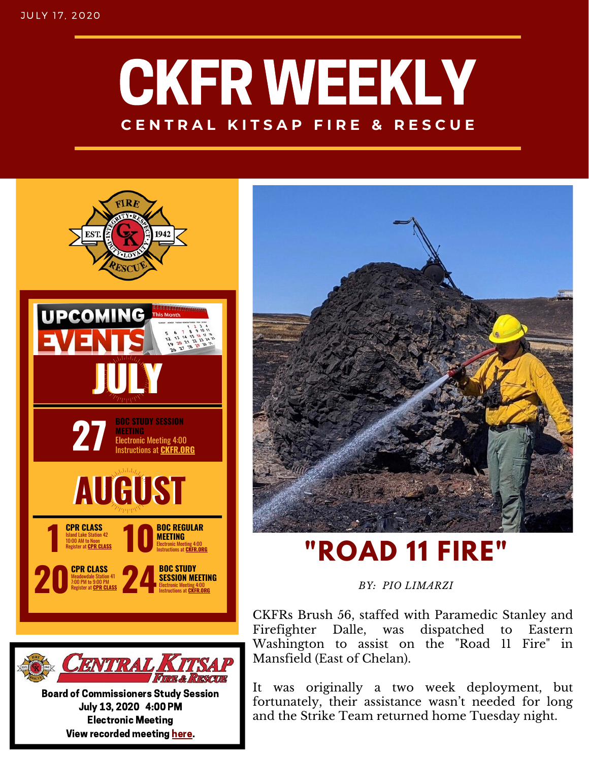## CKFR WEEKLY **C E N T R A L K I T S A P F I R E & R E S C U E**



Board of Commissioners Study Session July 13, 2020 4:00 PM Electronic Meeting View recorded meeting [here.](https://vimeo.com/438028656)



### *BY: PIO LIMARZI*

CKFRs Brush 56, staffed with Paramedic Stanley and Firefighter Dalle, was dispatched to Eastern Washington to assist on the "Road 11 Fire" in Mansfield (East of Chelan).

It was originally a two week deployment, but fortunately, their assistance wasn't needed for long and the Strike Team returned home Tuesday night.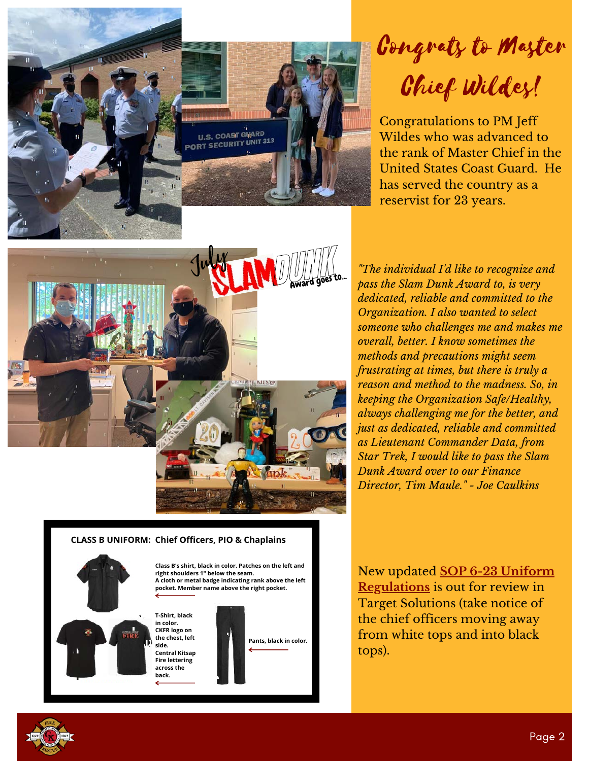

### Congrats to Master Chief Wildes!

Congratulations to PM Jeff Wildes who was advanced to the rank of Master Chief in the United States Coast Guard. He has served the country as a reservist for 23 years.







**Class B's shirt, black in color. Patches on the left and right shoulders 1" below the seam. A cloth or metal badge indicating rank above the left pocket. Member name above the right pocket.**

**T-Shirt, black in color. CKFR logo on the chest, left side. Central Kitsap Fire lettering across the back.**



*"The individual I'd like to recognize and pass the Slam Dunk Award to, is very dedicated, reliable and committed to the Organization. I also wanted to select someone who challenges me and makes me overall, better. I know sometimes the methods and precautions might seem frustrating at times, but there is truly a reason and method to the madness. So, in keeping the Organization Safe/Healthy, always challenging me for the better, and just as dedicated, reliable and committed as Lieutenant Commander Data, from Star Trek, I would like to pass the Slam Dunk Award over to our Finance Director, Tim Maule." - Joe Caulkins*

New updated **[SOP 6-23 Uniform](https://ckfr.sharepoint.com/intranet/hrportal/policy/Published%20Polices/Forms/AllItems.aspx?id=%2Fintranet%2Fhrportal%2Fpolicy%2FPublished%20Polices%2FSOP%206%2D23%20%2D%20Uniform%20Regulations%2Epdf&parent=%2Fintranet%2Fhrportal%2Fpolicy%2FPublished%20Polices) Regulations** is out for review in Target Solutions (take notice of the chief officers moving away from white tops and into black tops).

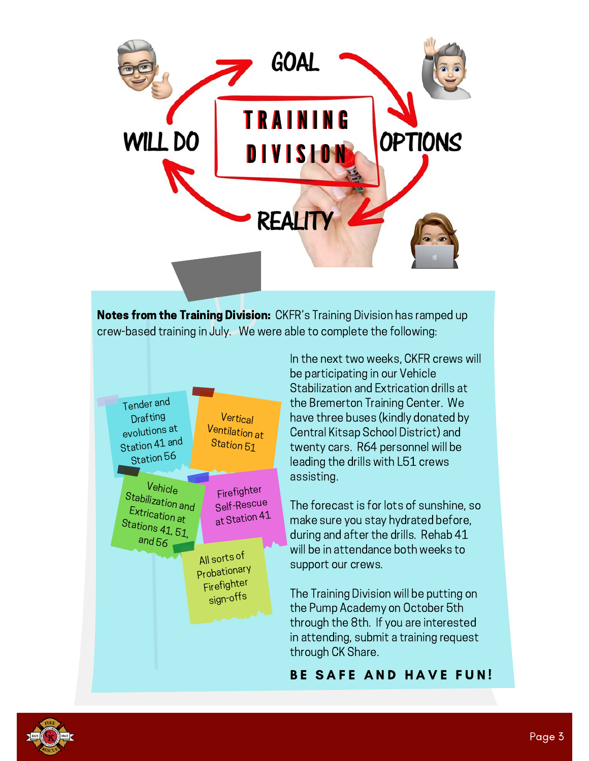

**Notes from the Training Division:** CKFR's Training Division has ramped up crew-based training in July. We were able to complete the following:



In the next two weeks, CKFR crews will be participating in our Vehicle Stabilization and Extrication drills at the Bremerton Training Center. We have three buses (kindly donated by Central Kitsap School District) and twenty cars. R64 personnel will be leading the drills with L51 crews assisting.

The forecast is for lots of sunshine, so make sure you stay hydrated before, during and after the drills. Rehab 41 will be in attendance both weeks to support our crews.

The Training Division will be putting on the Pump Academy on October 5th through the 8th. If you are interested in attending, submit a training request through CK Share.

#### BE SAFE AND HAVE FUN!